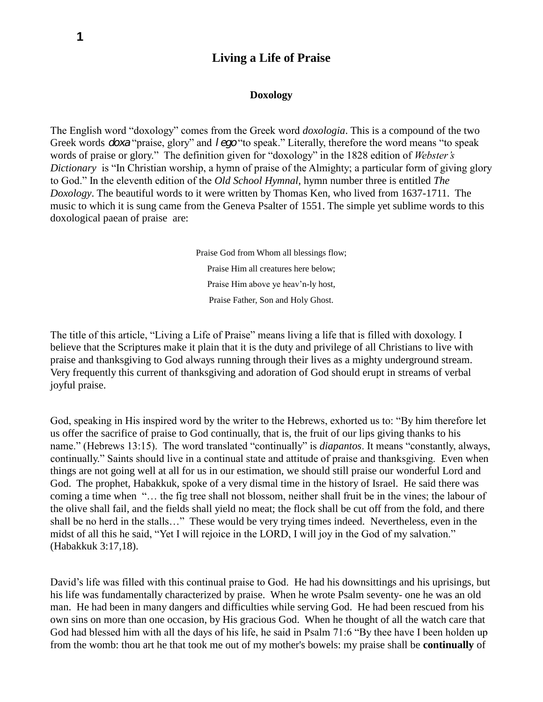# **Living a Life of Praise**

#### **Doxology**

The English word "doxology" comes from the Greek word *doxologia*. This is a compound of the two Greek words *doxa* "praise, glory" and *lego* "to speak." Literally, therefore the word means "to speak words of praise or glory." The definition given for "doxology" in the 1828 edition of *Webster's Dictionary* is "In Christian worship, a hymn of praise of the Almighty; a particular form of giving glory to God." In the eleventh edition of the *Old School Hymnal*, hymn number three is entitled *The Doxology*. The beautiful words to it were written by Thomas Ken, who lived from 1637-1711. The music to which it is sung came from the Geneva Psalter of 1551. The simple yet sublime words to this doxological paean of praise are:

> Praise God from Whom all blessings flow; Praise Him all creatures here below; Praise Him above ye heav'n-ly host, Praise Father, Son and Holy Ghost.

The title of this article, "Living a Life of Praise" means living a life that is filled with doxology. I believe that the Scriptures make it plain that it is the duty and privilege of all Christians to live with praise and thanksgiving to God always running through their lives as a mighty underground stream. Very frequently this current of thanksgiving and adoration of God should erupt in streams of verbal joyful praise.

God, speaking in His inspired word by the writer to the Hebrews, exhorted us to: "By him therefore let us offer the sacrifice of praise to God continually, that is, the fruit of our lips giving thanks to his name." (Hebrews 13:15). The word translated "continually" is *diapantos*. It means "constantly, always, continually." Saints should live in a continual state and attitude of praise and thanksgiving. Even when things are not going well at all for us in our estimation, we should still praise our wonderful Lord and God. The prophet, Habakkuk, spoke of a very dismal time in the history of Israel. He said there was coming a time when "… the fig tree shall not blossom, neither shall fruit be in the vines; the labour of the olive shall fail, and the fields shall yield no meat; the flock shall be cut off from the fold, and there shall be no herd in the stalls…" These would be very trying times indeed. Nevertheless, even in the midst of all this he said, "Yet I will rejoice in the LORD, I will joy in the God of my salvation." (Habakkuk 3:17,18).

David's life was filled with this continual praise to God. He had his downsittings and his uprisings, but his life was fundamentally characterized by praise. When he wrote Psalm seventy- one he was an old man. He had been in many dangers and difficulties while serving God. He had been rescued from his own sins on more than one occasion, by His gracious God. When he thought of all the watch care that God had blessed him with all the days of his life, he said in Psalm 71:6 "By thee have I been holden up from the womb: thou art he that took me out of my mother's bowels: my praise shall be **continually** of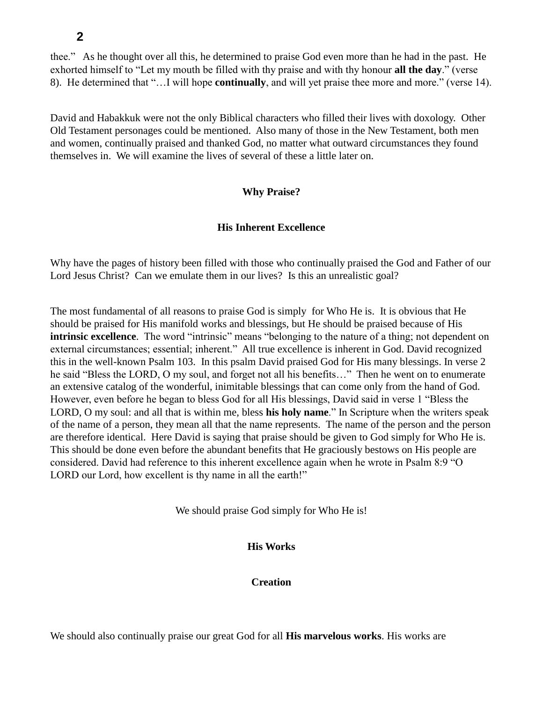thee." As he thought over all this, he determined to praise God even more than he had in the past. He exhorted himself to "Let my mouth be filled with thy praise and with thy honour **all the day**." (verse 8). He determined that "…I will hope **continually**, and will yet praise thee more and more." (verse 14).

David and Habakkuk were not the only Biblical characters who filled their lives with doxology. Other Old Testament personages could be mentioned. Also many of those in the New Testament, both men and women, continually praised and thanked God, no matter what outward circumstances they found themselves in. We will examine the lives of several of these a little later on.

#### **Why Praise?**

#### **His Inherent Excellence**

Why have the pages of history been filled with those who continually praised the God and Father of our Lord Jesus Christ? Can we emulate them in our lives? Is this an unrealistic goal?

The most fundamental of all reasons to praise God is simply for Who He is. It is obvious that He should be praised for His manifold works and blessings, but He should be praised because of His intrinsic excellence. The word "intrinsic" means "belonging to the nature of a thing; not dependent on external circumstances; essential; inherent." All true excellence is inherent in God. David recognized this in the well-known Psalm 103. In this psalm David praised God for His many blessings. In verse 2 he said "Bless the LORD, O my soul, and forget not all his benefits..." Then he went on to enumerate an extensive catalog of the wonderful, inimitable blessings that can come only from the hand of God. However, even before he began to bless God for all His blessings, David said in verse 1 "Bless the LORD, O my soul: and all that is within me, bless **his holy name**." In Scripture when the writers speak of the name of a person, they mean all that the name represents. The name of the person and the person are therefore identical. Here David is saying that praise should be given to God simply for Who He is. This should be done even before the abundant benefits that He graciously bestows on His people are considered. David had reference to this inherent excellence again when he wrote in Psalm 8:9 "O LORD our Lord, how excellent is thy name in all the earth!"

We should praise God simply for Who He is!

#### **His Works**

**Creation**

We should also continually praise our great God for all **His marvelous works**. His works are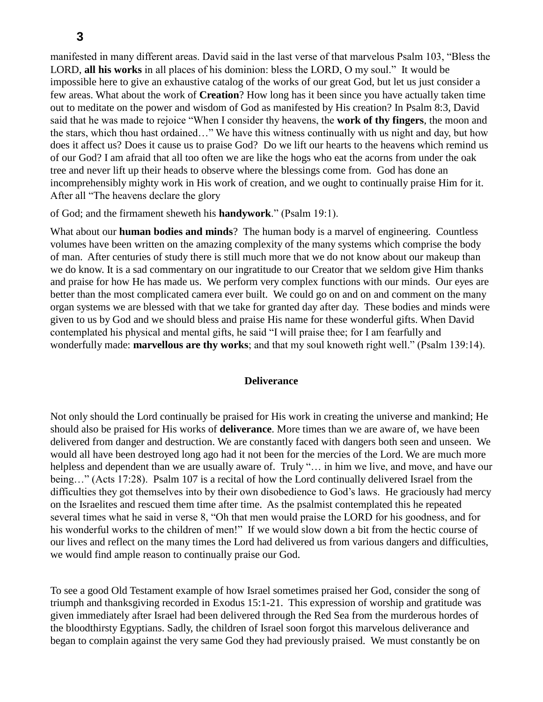manifested in many different areas. David said in the last verse of that marvelous Psalm 103, "Bless the LORD, **all his works** in all places of his dominion: bless the LORD, O my soul." It would be impossible here to give an exhaustive catalog of the works of our great God, but let us just consider a few areas. What about the work of **Creation**? How long has it been since you have actually taken time out to meditate on the power and wisdom of God as manifested by His creation? In Psalm 8:3, David said that he was made to rejoice "When I consider thy heavens, the **work of thy fingers**, the moon and the stars, which thou hast ordained…" We have this witness continually with us night and day, but how does it affect us? Does it cause us to praise God? Do we lift our hearts to the heavens which remind us of our God? I am afraid that all too often we are like the hogs who eat the acorns from under the oak tree and never lift up their heads to observe where the blessings come from. God has done an incomprehensibly mighty work in His work of creation, and we ought to continually praise Him for it. After all "The heavens declare the glory

of God; and the firmament sheweth his **handywork**." (Psalm 19:1).

What about our **human bodies and minds**? The human body is a marvel of engineering. Countless volumes have been written on the amazing complexity of the many systems which comprise the body of man. After centuries of study there is still much more that we do not know about our makeup than we do know. It is a sad commentary on our ingratitude to our Creator that we seldom give Him thanks and praise for how He has made us. We perform very complex functions with our minds. Our eyes are better than the most complicated camera ever built. We could go on and on and comment on the many organ systems we are blessed with that we take for granted day after day. These bodies and minds were given to us by God and we should bless and praise His name for these wonderful gifts. When David contemplated his physical and mental gifts, he said "I will praise thee; for I am fearfully and wonderfully made: **marvellous are thy works**; and that my soul knoweth right well." (Psalm 139:14).

#### **Deliverance**

Not only should the Lord continually be praised for His work in creating the universe and mankind; He should also be praised for His works of **deliverance**. More times than we are aware of, we have been delivered from danger and destruction. We are constantly faced with dangers both seen and unseen. We would all have been destroyed long ago had it not been for the mercies of the Lord. We are much more helpless and dependent than we are usually aware of. Truly "... in him we live, and move, and have our being…" (Acts 17:28). Psalm 107 is a recital of how the Lord continually delivered Israel from the difficulties they got themselves into by their own disobedience to God's laws. He graciously had mercy on the Israelites and rescued them time after time. As the psalmist contemplated this he repeated several times what he said in verse 8, "Oh that men would praise the LORD for his goodness, and for his wonderful works to the children of men!" If we would slow down a bit from the hectic course of our lives and reflect on the many times the Lord had delivered us from various dangers and difficulties, we would find ample reason to continually praise our God.

To see a good Old Testament example of how Israel sometimes praised her God, consider the song of triumph and thanksgiving recorded in Exodus 15:1-21. This expression of worship and gratitude was given immediately after Israel had been delivered through the Red Sea from the murderous hordes of the bloodthirsty Egyptians. Sadly, the children of Israel soon forgot this marvelous deliverance and began to complain against the very same God they had previously praised. We must constantly be on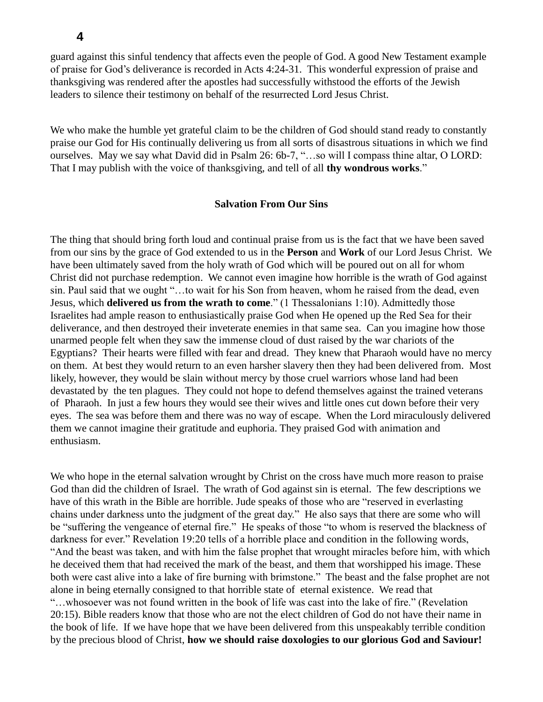**4**

guard against this sinful tendency that affects even the people of God. A good New Testament example of praise for God's deliverance is recorded in Acts 4:24-31. This wonderful expression of praise and thanksgiving was rendered after the apostles had successfully withstood the efforts of the Jewish leaders to silence their testimony on behalf of the resurrected Lord Jesus Christ.

We who make the humble yet grateful claim to be the children of God should stand ready to constantly praise our God for His continually delivering us from all sorts of disastrous situations in which we find ourselves. May we say what David did in Psalm 26: 6b-7, "…so will I compass thine altar, O LORD: That I may publish with the voice of thanksgiving, and tell of all **thy wondrous works**."

### **Salvation From Our Sins**

The thing that should bring forth loud and continual praise from us is the fact that we have been saved from our sins by the grace of God extended to us in the **Person** and **Work** of our Lord Jesus Christ. We have been ultimately saved from the holy wrath of God which will be poured out on all for whom Christ did not purchase redemption. We cannot even imagine how horrible is the wrath of God against sin. Paul said that we ought "…to wait for his Son from heaven, whom he raised from the dead, even Jesus, which **delivered us from the wrath to come**." (1 Thessalonians 1:10). Admittedly those Israelites had ample reason to enthusiastically praise God when He opened up the Red Sea for their deliverance, and then destroyed their inveterate enemies in that same sea. Can you imagine how those unarmed people felt when they saw the immense cloud of dust raised by the war chariots of the Egyptians? Their hearts were filled with fear and dread. They knew that Pharaoh would have no mercy on them. At best they would return to an even harsher slavery then they had been delivered from. Most likely, however, they would be slain without mercy by those cruel warriors whose land had been devastated by the ten plagues. They could not hope to defend themselves against the trained veterans of Pharaoh. In just a few hours they would see their wives and little ones cut down before their very eyes. The sea was before them and there was no way of escape. When the Lord miraculously delivered them we cannot imagine their gratitude and euphoria. They praised God with animation and enthusiasm.

We who hope in the eternal salvation wrought by Christ on the cross have much more reason to praise God than did the children of Israel. The wrath of God against sin is eternal. The few descriptions we have of this wrath in the Bible are horrible. Jude speaks of those who are "reserved in everlasting chains under darkness unto the judgment of the great day." He also says that there are some who will be "suffering the vengeance of eternal fire." He speaks of those "to whom is reserved the blackness of darkness for ever." Revelation 19:20 tells of a horrible place and condition in the following words, "And the beast was taken, and with him the false prophet that wrought miracles before him, with which he deceived them that had received the mark of the beast, and them that worshipped his image. These both were cast alive into a lake of fire burning with brimstone." The beast and the false prophet are not alone in being eternally consigned to that horrible state of eternal existence. We read that "…whosoever was not found written in the book of life was cast into the lake of fire." (Revelation 20:15). Bible readers know that those who are not the elect children of God do not have their name in the book of life. If we have hope that we have been delivered from this unspeakably terrible condition by the precious blood of Christ, **how we should raise doxologies to our glorious God and Saviour!**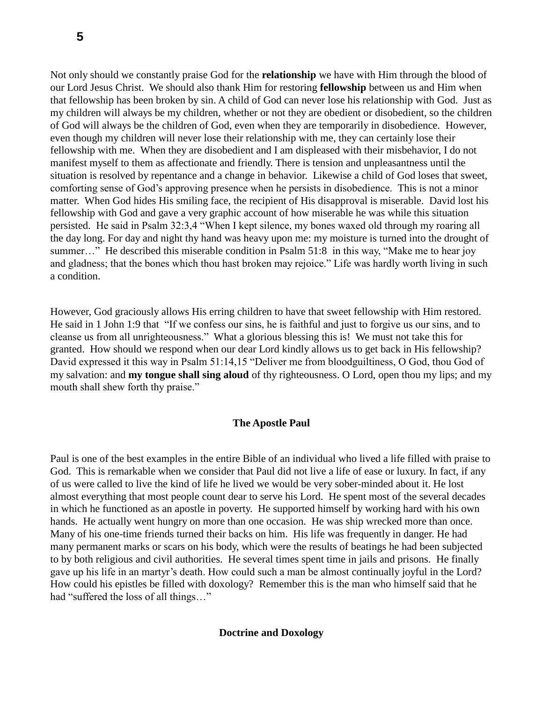Not only should we constantly praise God for the **relationship** we have with Him through the blood of our Lord Jesus Christ. We should also thank Him for restoring **fellowship** between us and Him when that fellowship has been broken by sin. A child of God can never lose his relationship with God. Just as my children will always be my children, whether or not they are obedient or disobedient, so the children of God will always be the children of God, even when they are temporarily in disobedience. However, even though my children will never lose their relationship with me, they can certainly lose their fellowship with me. When they are disobedient and I am displeased with their misbehavior, I do not manifest myself to them as affectionate and friendly. There is tension and unpleasantness until the situation is resolved by repentance and a change in behavior. Likewise a child of God loses that sweet, comforting sense of God's approving presence when he persists in disobedience. This is not a minor matter. When God hides His smiling face, the recipient of His disapproval is miserable. David lost his fellowship with God and gave a very graphic account of how miserable he was while this situation persisted. He said in Psalm 32:3,4 "When I kept silence, my bones waxed old through my roaring all the day long. For day and night thy hand was heavy upon me: my moisture is turned into the drought of summer..." He described this miserable condition in Psalm 51:8 in this way, "Make me to hear joy and gladness; that the bones which thou hast broken may rejoice." Life was hardly worth living in such a condition.

However, God graciously allows His erring children to have that sweet fellowship with Him restored. He said in 1 John 1:9 that "If we confess our sins, he is faithful and just to forgive us our sins, and to cleanse us from all unrighteousness." What a glorious blessing this is! We must not take this for granted. How should we respond when our dear Lord kindly allows us to get back in His fellowship? David expressed it this way in Psalm 51:14,15 "Deliver me from bloodguiltiness, O God, thou God of my salvation: and **my tongue shall sing aloud** of thy righteousness. O Lord, open thou my lips; and my mouth shall shew forth thy praise."

## **The Apostle Paul**

Paul is one of the best examples in the entire Bible of an individual who lived a life filled with praise to God. This is remarkable when we consider that Paul did not live a life of ease or luxury. In fact, if any of us were called to live the kind of life he lived we would be very sober-minded about it. He lost almost everything that most people count dear to serve his Lord. He spent most of the several decades in which he functioned as an apostle in poverty. He supported himself by working hard with his own hands. He actually went hungry on more than one occasion. He was ship wrecked more than once. Many of his one-time friends turned their backs on him. His life was frequently in danger. He had many permanent marks or scars on his body, which were the results of beatings he had been subjected to by both religious and civil authorities. He several times spent time in jails and prisons. He finally gave up his life in an martyr's death. How could such a man be almost continually joyful in the Lord? How could his epistles be filled with doxology? Remember this is the man who himself said that he had "suffered the loss of all things…"

#### **Doctrine and Doxology**